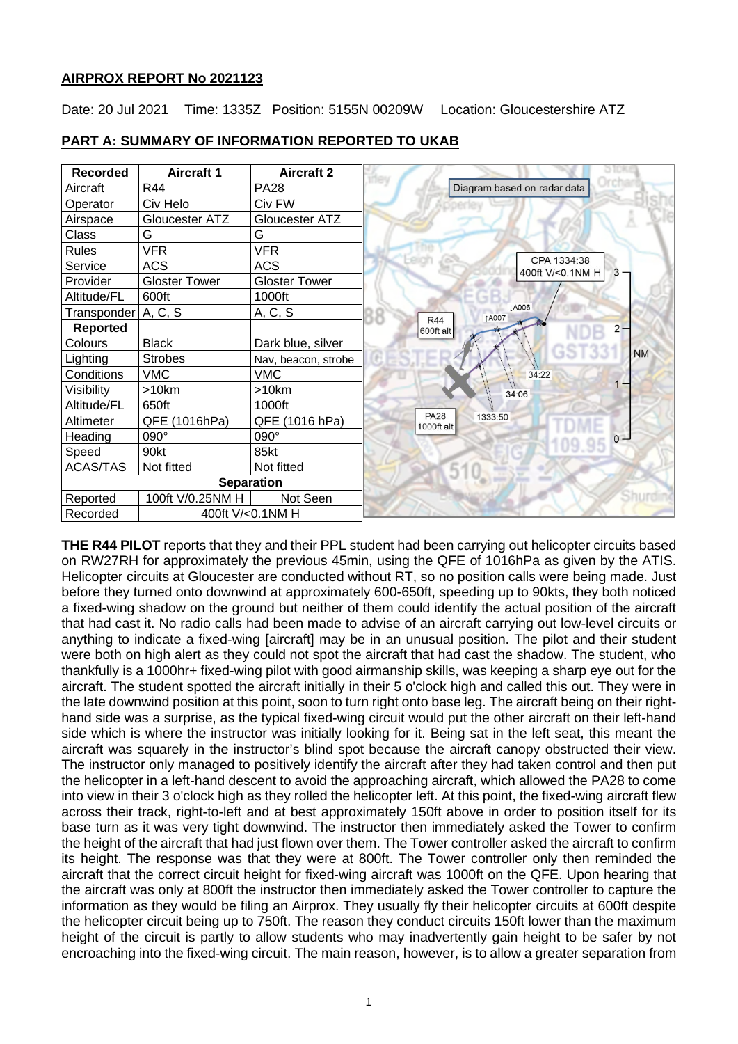## **AIRPROX REPORT No 2021123**

Date: 20 Jul 2021 Time: 1335Z Position: 5155N 00209W Location: Gloucestershire ATZ

| <b>Recorded</b>              | <b>Aircraft 1</b>    | <b>Aircraft 2</b>   |  |
|------------------------------|----------------------|---------------------|--|
| Aircraft                     | R44                  | <b>PA28</b>         |  |
| Operator                     | Civ Helo             | Civ FW              |  |
| Airspace                     | Gloucester ATZ       | Gloucester ATZ      |  |
| Class                        | G                    | G                   |  |
| <b>Rules</b>                 | <b>VFR</b>           | <b>VFR</b>          |  |
| Service                      | <b>ACS</b>           | <b>ACS</b>          |  |
| Provider                     | <b>Gloster Tower</b> | Gloster Tower       |  |
| Altitude/FL                  | 600ft                | 1000ft              |  |
| Transponder   A, C, S        |                      | A, C, S             |  |
| <b>Reported</b>              |                      |                     |  |
| Colours                      | <b>Black</b>         | Dark blue, silver   |  |
| Lighting                     | <b>Strobes</b>       | Nav, beacon, strobe |  |
| Conditions                   | <b>VMC</b>           | <b>VMC</b>          |  |
| Visibility                   | >10km                | >10km               |  |
| Altitude/FL                  | 650ft                | 1000ft              |  |
| Altimeter                    | QFE (1016hPa)        | QFE (1016 hPa)      |  |
| Heading                      | 090°                 | 090°                |  |
| Speed                        | 90kt                 | 85kt                |  |
| <b>ACAS/TAS</b>              | Not fitted           | Not fitted          |  |
| <b>Separation</b>            |                      |                     |  |
| Reported                     | 100ft V/0.25NM H     | Not Seen            |  |
| 400ft V/<0.1NM H<br>Recorded |                      |                     |  |

# **PART A: SUMMARY OF INFORMATION REPORTED TO UKAB**

**THE R44 PILOT** reports that they and their PPL student had been carrying out helicopter circuits based on RW27RH for approximately the previous 45min, using the QFE of 1016hPa as given by the ATIS. Helicopter circuits at Gloucester are conducted without RT, so no position calls were being made. Just before they turned onto downwind at approximately 600-650ft, speeding up to 90kts, they both noticed a fixed-wing shadow on the ground but neither of them could identify the actual position of the aircraft that had cast it. No radio calls had been made to advise of an aircraft carrying out low-level circuits or anything to indicate a fixed-wing [aircraft] may be in an unusual position. The pilot and their student were both on high alert as they could not spot the aircraft that had cast the shadow. The student, who thankfully is a 1000hr+ fixed-wing pilot with good airmanship skills, was keeping a sharp eye out for the aircraft. The student spotted the aircraft initially in their 5 o'clock high and called this out. They were in the late downwind position at this point, soon to turn right onto base leg. The aircraft being on their righthand side was a surprise, as the typical fixed-wing circuit would put the other aircraft on their left-hand side which is where the instructor was initially looking for it. Being sat in the left seat, this meant the aircraft was squarely in the instructor's blind spot because the aircraft canopy obstructed their view. The instructor only managed to positively identify the aircraft after they had taken control and then put the helicopter in a left-hand descent to avoid the approaching aircraft, which allowed the PA28 to come into view in their 3 o'clock high as they rolled the helicopter left. At this point, the fixed-wing aircraft flew across their track, right-to-left and at best approximately 150ft above in order to position itself for its base turn as it was very tight downwind. The instructor then immediately asked the Tower to confirm the height of the aircraft that had just flown over them. The Tower controller asked the aircraft to confirm its height. The response was that they were at 800ft. The Tower controller only then reminded the aircraft that the correct circuit height for fixed-wing aircraft was 1000ft on the QFE. Upon hearing that the aircraft was only at 800ft the instructor then immediately asked the Tower controller to capture the information as they would be filing an Airprox. They usually fly their helicopter circuits at 600ft despite the helicopter circuit being up to 750ft. The reason they conduct circuits 150ft lower than the maximum height of the circuit is partly to allow students who may inadvertently gain height to be safer by not encroaching into the fixed-wing circuit. The main reason, however, is to allow a greater separation from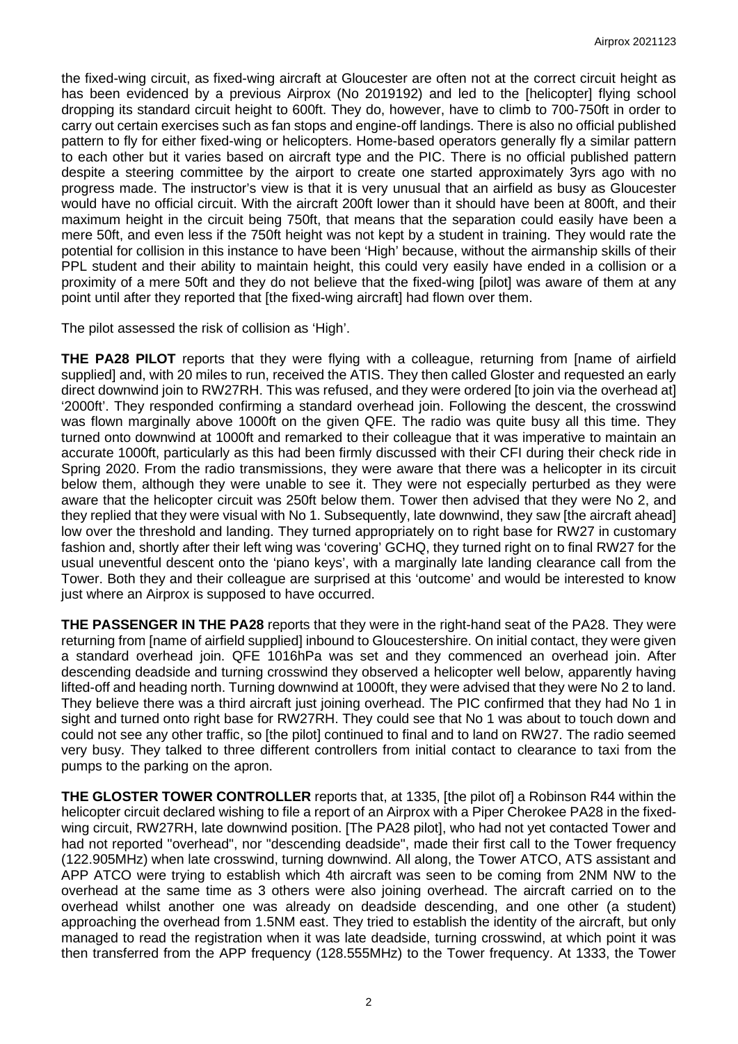the fixed-wing circuit, as fixed-wing aircraft at Gloucester are often not at the correct circuit height as has been evidenced by a previous Airprox (No 2019192) and led to the [helicopter] flying school dropping its standard circuit height to 600ft. They do, however, have to climb to 700-750ft in order to carry out certain exercises such as fan stops and engine-off landings. There is also no official published pattern to fly for either fixed-wing or helicopters. Home-based operators generally fly a similar pattern to each other but it varies based on aircraft type and the PIC. There is no official published pattern despite a steering committee by the airport to create one started approximately 3yrs ago with no progress made. The instructor's view is that it is very unusual that an airfield as busy as Gloucester would have no official circuit. With the aircraft 200ft lower than it should have been at 800ft, and their maximum height in the circuit being 750ft, that means that the separation could easily have been a mere 50ft, and even less if the 750ft height was not kept by a student in training. They would rate the potential for collision in this instance to have been 'High' because, without the airmanship skills of their PPL student and their ability to maintain height, this could very easily have ended in a collision or a proximity of a mere 50ft and they do not believe that the fixed-wing [pilot] was aware of them at any point until after they reported that [the fixed-wing aircraft] had flown over them.

The pilot assessed the risk of collision as 'High'.

**THE PA28 PILOT** reports that they were flying with a colleague, returning from [name of airfield supplied] and, with 20 miles to run, received the ATIS. They then called Gloster and requested an early direct downwind join to RW27RH. This was refused, and they were ordered [to join via the overhead at] '2000ft'. They responded confirming a standard overhead join. Following the descent, the crosswind was flown marginally above 1000ft on the given QFE. The radio was quite busy all this time. They turned onto downwind at 1000ft and remarked to their colleague that it was imperative to maintain an accurate 1000ft, particularly as this had been firmly discussed with their CFI during their check ride in Spring 2020. From the radio transmissions, they were aware that there was a helicopter in its circuit below them, although they were unable to see it. They were not especially perturbed as they were aware that the helicopter circuit was 250ft below them. Tower then advised that they were No 2, and they replied that they were visual with No 1. Subsequently, late downwind, they saw [the aircraft ahead] low over the threshold and landing. They turned appropriately on to right base for RW27 in customary fashion and, shortly after their left wing was 'covering' GCHQ, they turned right on to final RW27 for the usual uneventful descent onto the 'piano keys', with a marginally late landing clearance call from the Tower. Both they and their colleague are surprised at this 'outcome' and would be interested to know just where an Airprox is supposed to have occurred.

**THE PASSENGER IN THE PA28** reports that they were in the right-hand seat of the PA28. They were returning from [name of airfield supplied] inbound to Gloucestershire. On initial contact, they were given a standard overhead join. QFE 1016hPa was set and they commenced an overhead join. After descending deadside and turning crosswind they observed a helicopter well below, apparently having lifted-off and heading north. Turning downwind at 1000ft, they were advised that they were No 2 to land. They believe there was a third aircraft just joining overhead. The PIC confirmed that they had No 1 in sight and turned onto right base for RW27RH. They could see that No 1 was about to touch down and could not see any other traffic, so [the pilot] continued to final and to land on RW27. The radio seemed very busy. They talked to three different controllers from initial contact to clearance to taxi from the pumps to the parking on the apron.

**THE GLOSTER TOWER CONTROLLER** reports that, at 1335, [the pilot of] a Robinson R44 within the helicopter circuit declared wishing to file a report of an Airprox with a Piper Cherokee PA28 in the fixedwing circuit, RW27RH, late downwind position. [The PA28 pilot], who had not yet contacted Tower and had not reported "overhead", nor "descending deadside", made their first call to the Tower frequency (122.905MHz) when late crosswind, turning downwind. All along, the Tower ATCO, ATS assistant and APP ATCO were trying to establish which 4th aircraft was seen to be coming from 2NM NW to the overhead at the same time as 3 others were also joining overhead. The aircraft carried on to the overhead whilst another one was already on deadside descending, and one other (a student) approaching the overhead from 1.5NM east. They tried to establish the identity of the aircraft, but only managed to read the registration when it was late deadside, turning crosswind, at which point it was then transferred from the APP frequency (128.555MHz) to the Tower frequency. At 1333, the Tower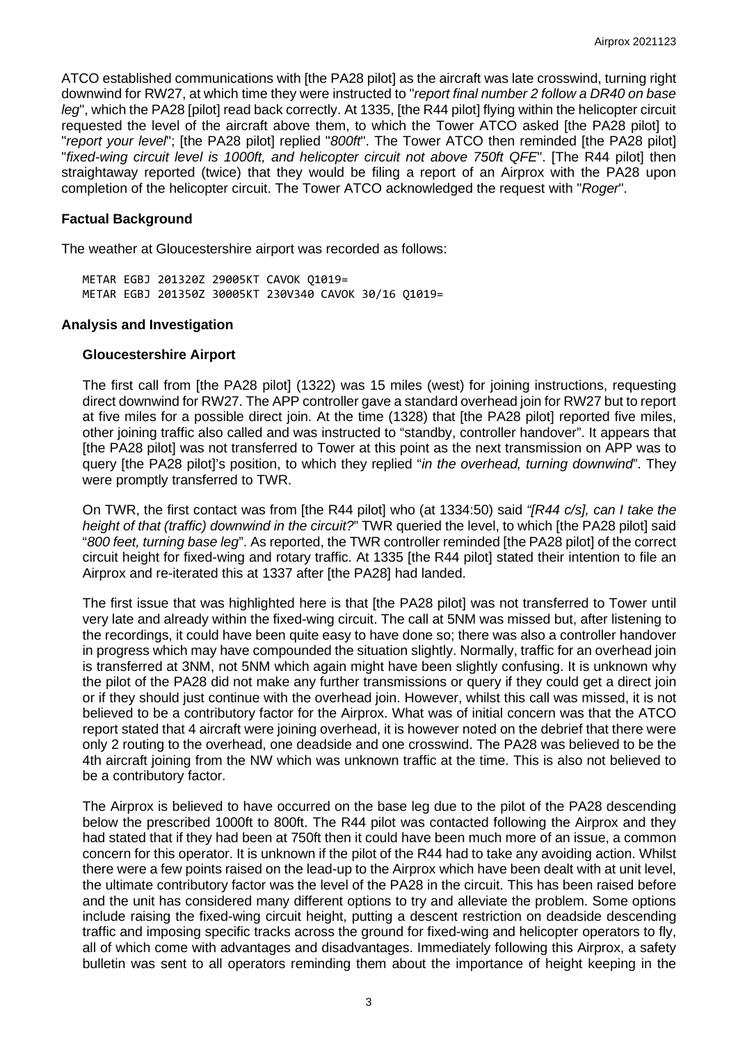ATCO established communications with [the PA28 pilot] as the aircraft was late crosswind, turning right downwind for RW27, at which time they were instructed to "*report final number 2 follow a DR40 on base leg*", which the PA28 [pilot] read back correctly. At 1335, [the R44 pilot] flying within the helicopter circuit requested the level of the aircraft above them, to which the Tower ATCO asked [the PA28 pilot] to "*report your level*"; [the PA28 pilot] replied "*800ft*". The Tower ATCO then reminded [the PA28 pilot] "*fixed-wing circuit level is 1000ft, and helicopter circuit not above 750ft QFE*". [The R44 pilot] then straightaway reported (twice) that they would be filing a report of an Airprox with the PA28 upon completion of the helicopter circuit. The Tower ATCO acknowledged the request with "*Roger*".

## **Factual Background**

The weather at Gloucestershire airport was recorded as follows:

METAR EGBJ 201320Z 29005KT CAVOK Q1019= METAR EGBJ 201350Z 30005KT 230V340 CAVOK 30/16 Q1019=

## **Analysis and Investigation**

#### **Gloucestershire Airport**

The first call from [the PA28 pilot] (1322) was 15 miles (west) for joining instructions, requesting direct downwind for RW27. The APP controller gave a standard overhead join for RW27 but to report at five miles for a possible direct join. At the time (1328) that [the PA28 pilot] reported five miles, other joining traffic also called and was instructed to "standby, controller handover". It appears that [the PA28 pilot] was not transferred to Tower at this point as the next transmission on APP was to query [the PA28 pilot]'s position, to which they replied "*in the overhead, turning downwind*". They were promptly transferred to TWR.

On TWR, the first contact was from [the R44 pilot] who (at 1334:50) said *"[R44 c/s], can I take the height of that (traffic) downwind in the circuit?*" TWR queried the level, to which [the PA28 pilot] said "*800 feet, turning base leg*". As reported, the TWR controller reminded [the PA28 pilot] of the correct circuit height for fixed-wing and rotary traffic. At 1335 [the R44 pilot] stated their intention to file an Airprox and re-iterated this at 1337 after [the PA28] had landed.

The first issue that was highlighted here is that [the PA28 pilot] was not transferred to Tower until very late and already within the fixed-wing circuit. The call at 5NM was missed but, after listening to the recordings, it could have been quite easy to have done so; there was also a controller handover in progress which may have compounded the situation slightly. Normally, traffic for an overhead join is transferred at 3NM, not 5NM which again might have been slightly confusing. It is unknown why the pilot of the PA28 did not make any further transmissions or query if they could get a direct join or if they should just continue with the overhead join. However, whilst this call was missed, it is not believed to be a contributory factor for the Airprox. What was of initial concern was that the ATCO report stated that 4 aircraft were joining overhead, it is however noted on the debrief that there were only 2 routing to the overhead, one deadside and one crosswind. The PA28 was believed to be the 4th aircraft joining from the NW which was unknown traffic at the time. This is also not believed to be a contributory factor.

The Airprox is believed to have occurred on the base leg due to the pilot of the PA28 descending below the prescribed 1000ft to 800ft. The R44 pilot was contacted following the Airprox and they had stated that if they had been at 750ft then it could have been much more of an issue, a common concern for this operator. It is unknown if the pilot of the R44 had to take any avoiding action. Whilst there were a few points raised on the lead-up to the Airprox which have been dealt with at unit level, the ultimate contributory factor was the level of the PA28 in the circuit. This has been raised before and the unit has considered many different options to try and alleviate the problem. Some options include raising the fixed-wing circuit height, putting a descent restriction on deadside descending traffic and imposing specific tracks across the ground for fixed-wing and helicopter operators to fly, all of which come with advantages and disadvantages. Immediately following this Airprox, a safety bulletin was sent to all operators reminding them about the importance of height keeping in the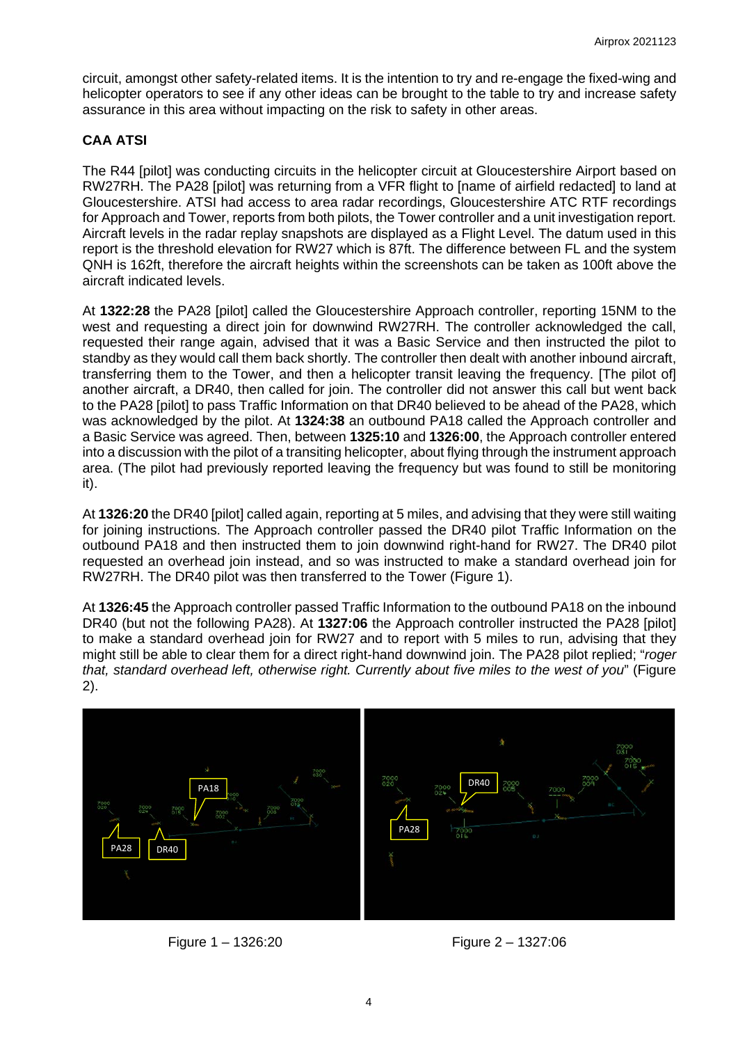circuit, amongst other safety-related items. It is the intention to try and re-engage the fixed-wing and helicopter operators to see if any other ideas can be brought to the table to try and increase safety assurance in this area without impacting on the risk to safety in other areas.

# **CAA ATSI**

The R44 [pilot] was conducting circuits in the helicopter circuit at Gloucestershire Airport based on RW27RH. The PA28 [pilot] was returning from a VFR flight to [name of airfield redacted] to land at Gloucestershire. ATSI had access to area radar recordings, Gloucestershire ATC RTF recordings for Approach and Tower, reports from both pilots, the Tower controller and a unit investigation report. Aircraft levels in the radar replay snapshots are displayed as a Flight Level. The datum used in this report is the threshold elevation for RW27 which is 87ft. The difference between FL and the system QNH is 162ft, therefore the aircraft heights within the screenshots can be taken as 100ft above the aircraft indicated levels.

At **1322:28** the PA28 [pilot] called the Gloucestershire Approach controller, reporting 15NM to the west and requesting a direct join for downwind RW27RH. The controller acknowledged the call, requested their range again, advised that it was a Basic Service and then instructed the pilot to standby as they would call them back shortly. The controller then dealt with another inbound aircraft, transferring them to the Tower, and then a helicopter transit leaving the frequency. [The pilot of] another aircraft, a DR40, then called for join. The controller did not answer this call but went back to the PA28 [pilot] to pass Traffic Information on that DR40 believed to be ahead of the PA28, which was acknowledged by the pilot. At **1324:38** an outbound PA18 called the Approach controller and a Basic Service was agreed. Then, between **1325:10** and **1326:00**, the Approach controller entered into a discussion with the pilot of a transiting helicopter, about flying through the instrument approach area. (The pilot had previously reported leaving the frequency but was found to still be monitoring it).

At **1326:20** the DR40 [pilot] called again, reporting at 5 miles, and advising that they were still waiting for joining instructions. The Approach controller passed the DR40 pilot Traffic Information on the outbound PA18 and then instructed them to join downwind right-hand for RW27. The DR40 pilot requested an overhead join instead, and so was instructed to make a standard overhead join for RW27RH. The DR40 pilot was then transferred to the Tower (Figure 1).

At **1326:45** the Approach controller passed Traffic Information to the outbound PA18 on the inbound DR40 (but not the following PA28). At **1327:06** the Approach controller instructed the PA28 [pilot] to make a standard overhead join for RW27 and to report with 5 miles to run, advising that they might still be able to clear them for a direct right-hand downwind join. The PA28 pilot replied; "*roger that, standard overhead left, otherwise right. Currently about five miles to the west of you*" (Figure 2).



Figure 1 – 1326:20 Figure 2 – 1327:06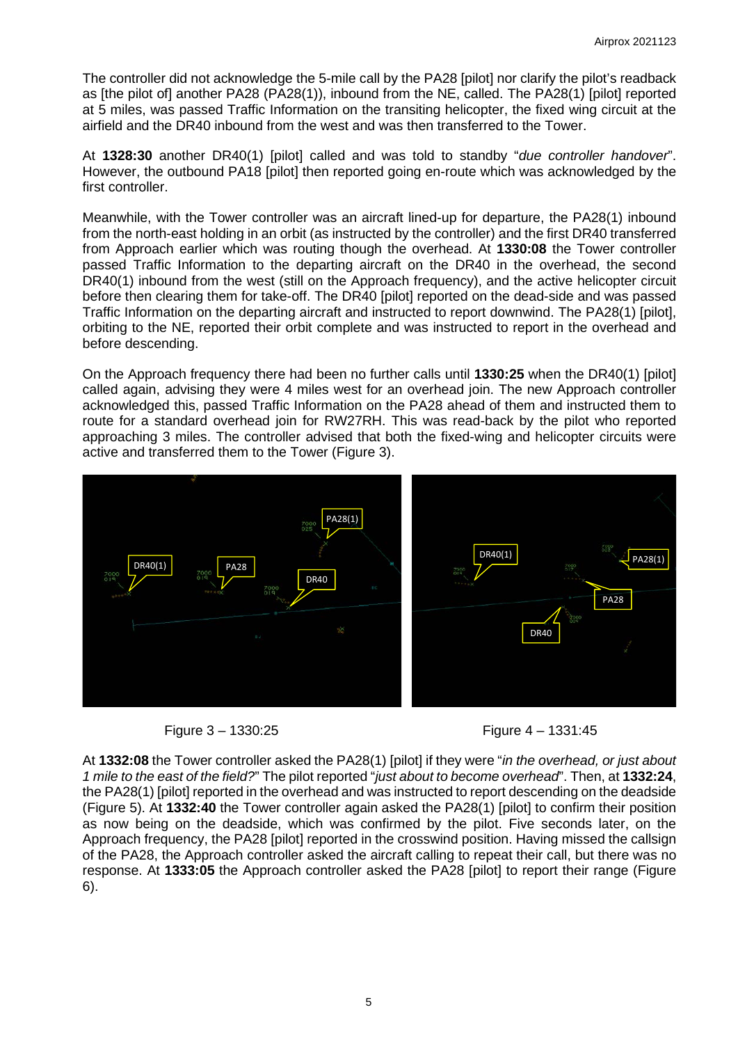The controller did not acknowledge the 5-mile call by the PA28 [pilot] nor clarify the pilot's readback as [the pilot of] another PA28 (PA28(1)), inbound from the NE, called. The PA28(1) [pilot] reported at 5 miles, was passed Traffic Information on the transiting helicopter, the fixed wing circuit at the airfield and the DR40 inbound from the west and was then transferred to the Tower.

At **1328:30** another DR40(1) [pilot] called and was told to standby "*due controller handover*". However, the outbound PA18 [pilot] then reported going en-route which was acknowledged by the first controller.

Meanwhile, with the Tower controller was an aircraft lined-up for departure, the PA28(1) inbound from the north-east holding in an orbit (as instructed by the controller) and the first DR40 transferred from Approach earlier which was routing though the overhead. At **1330:08** the Tower controller passed Traffic Information to the departing aircraft on the DR40 in the overhead, the second DR40(1) inbound from the west (still on the Approach frequency), and the active helicopter circuit before then clearing them for take-off. The DR40 [pilot] reported on the dead-side and was passed Traffic Information on the departing aircraft and instructed to report downwind. The PA28(1) [pilot], orbiting to the NE, reported their orbit complete and was instructed to report in the overhead and before descending.

On the Approach frequency there had been no further calls until **1330:25** when the DR40(1) [pilot] called again, advising they were 4 miles west for an overhead join. The new Approach controller acknowledged this, passed Traffic Information on the PA28 ahead of them and instructed them to route for a standard overhead join for RW27RH. This was read-back by the pilot who reported approaching 3 miles. The controller advised that both the fixed-wing and helicopter circuits were active and transferred them to the Tower (Figure 3).







At **1332:08** the Tower controller asked the PA28(1) [pilot] if they were "*in the overhead, or just about 1 mile to the east of the field?*" The pilot reported "*just about to become overhead*". Then, at **1332:24**, the PA28(1) [pilot] reported in the overhead and was instructed to report descending on the deadside (Figure 5). At **1332:40** the Tower controller again asked the PA28(1) [pilot] to confirm their position as now being on the deadside, which was confirmed by the pilot. Five seconds later, on the Approach frequency, the PA28 [pilot] reported in the crosswind position. Having missed the callsign of the PA28, the Approach controller asked the aircraft calling to repeat their call, but there was no response. At **1333:05** the Approach controller asked the PA28 [pilot] to report their range (Figure 6).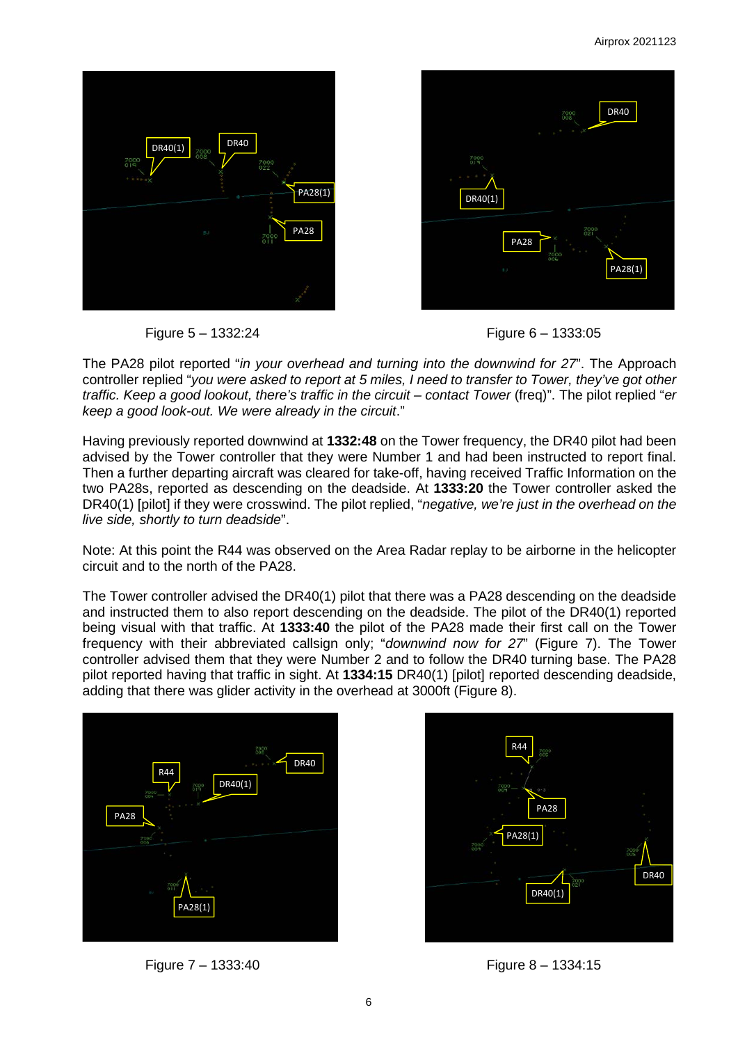





The PA28 pilot reported "*in your overhead and turning into the downwind for 27*". The Approach controller replied "*you were asked to report at 5 miles, I need to transfer to Tower, they've got other traffic. Keep a good lookout, there's traffic in the circuit – contact Tower* (freq)". The pilot replied "*er keep a good look-out. We were already in the circuit*."

Having previously reported downwind at **1332:48** on the Tower frequency, the DR40 pilot had been advised by the Tower controller that they were Number 1 and had been instructed to report final. Then a further departing aircraft was cleared for take-off, having received Traffic Information on the two PA28s, reported as descending on the deadside. At **1333:20** the Tower controller asked the DR40(1) [pilot] if they were crosswind. The pilot replied, "*negative, we're just in the overhead on the live side, shortly to turn deadside*".

Note: At this point the R44 was observed on the Area Radar replay to be airborne in the helicopter circuit and to the north of the PA28.

The Tower controller advised the DR40(1) pilot that there was a PA28 descending on the deadside and instructed them to also report descending on the deadside. The pilot of the DR40(1) reported being visual with that traffic. At **1333:40** the pilot of the PA28 made their first call on the Tower frequency with their abbreviated callsign only; "*downwind now for 27*" (Figure 7). The Tower controller advised them that they were Number 2 and to follow the DR40 turning base. The PA28 pilot reported having that traffic in sight. At **1334:15** DR40(1) [pilot] reported descending deadside, adding that there was glider activity in the overhead at 3000ft (Figure 8).



Figure 7 – 1333:40 Figure 8 – 1334:15

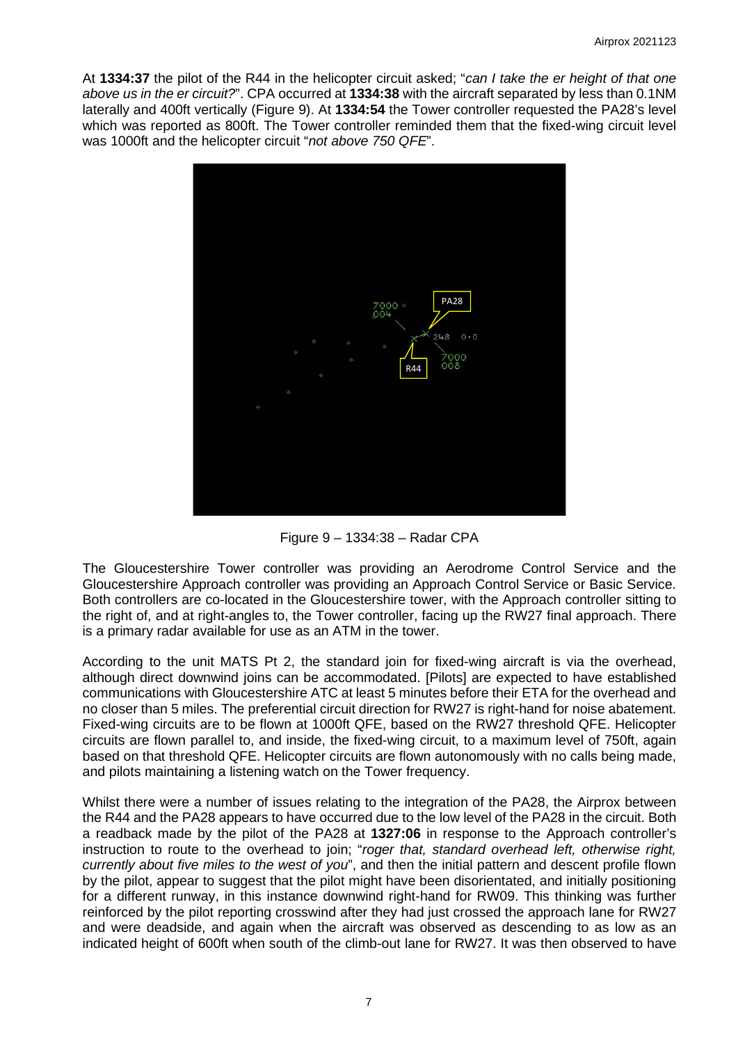At **1334:37** the pilot of the R44 in the helicopter circuit asked; "*can I take the er height of that one above us in the er circuit?*". CPA occurred at **1334:38** with the aircraft separated by less than 0.1NM laterally and 400ft vertically (Figure 9). At **1334:54** the Tower controller requested the PA28's level which was reported as 800ft. The Tower controller reminded them that the fixed-wing circuit level was 1000ft and the helicopter circuit "*not above 750 QFE*".



Figure 9 – 1334:38 – Radar CPA

The Gloucestershire Tower controller was providing an Aerodrome Control Service and the Gloucestershire Approach controller was providing an Approach Control Service or Basic Service. Both controllers are co-located in the Gloucestershire tower, with the Approach controller sitting to the right of, and at right-angles to, the Tower controller, facing up the RW27 final approach. There is a primary radar available for use as an ATM in the tower.

According to the unit MATS Pt 2, the standard join for fixed-wing aircraft is via the overhead, although direct downwind joins can be accommodated. [Pilots] are expected to have established communications with Gloucestershire ATC at least 5 minutes before their ETA for the overhead and no closer than 5 miles. The preferential circuit direction for RW27 is right-hand for noise abatement. Fixed-wing circuits are to be flown at 1000ft QFE, based on the RW27 threshold QFE. Helicopter circuits are flown parallel to, and inside, the fixed-wing circuit, to a maximum level of 750ft, again based on that threshold QFE. Helicopter circuits are flown autonomously with no calls being made, and pilots maintaining a listening watch on the Tower frequency.

Whilst there were a number of issues relating to the integration of the PA28, the Airprox between the R44 and the PA28 appears to have occurred due to the low level of the PA28 in the circuit. Both a readback made by the pilot of the PA28 at **1327:06** in response to the Approach controller's instruction to route to the overhead to join; "*roger that, standard overhead left, otherwise right, currently about five miles to the west of you*", and then the initial pattern and descent profile flown by the pilot, appear to suggest that the pilot might have been disorientated, and initially positioning for a different runway, in this instance downwind right-hand for RW09. This thinking was further reinforced by the pilot reporting crosswind after they had just crossed the approach lane for RW27 and were deadside, and again when the aircraft was observed as descending to as low as an indicated height of 600ft when south of the climb-out lane for RW27. It was then observed to have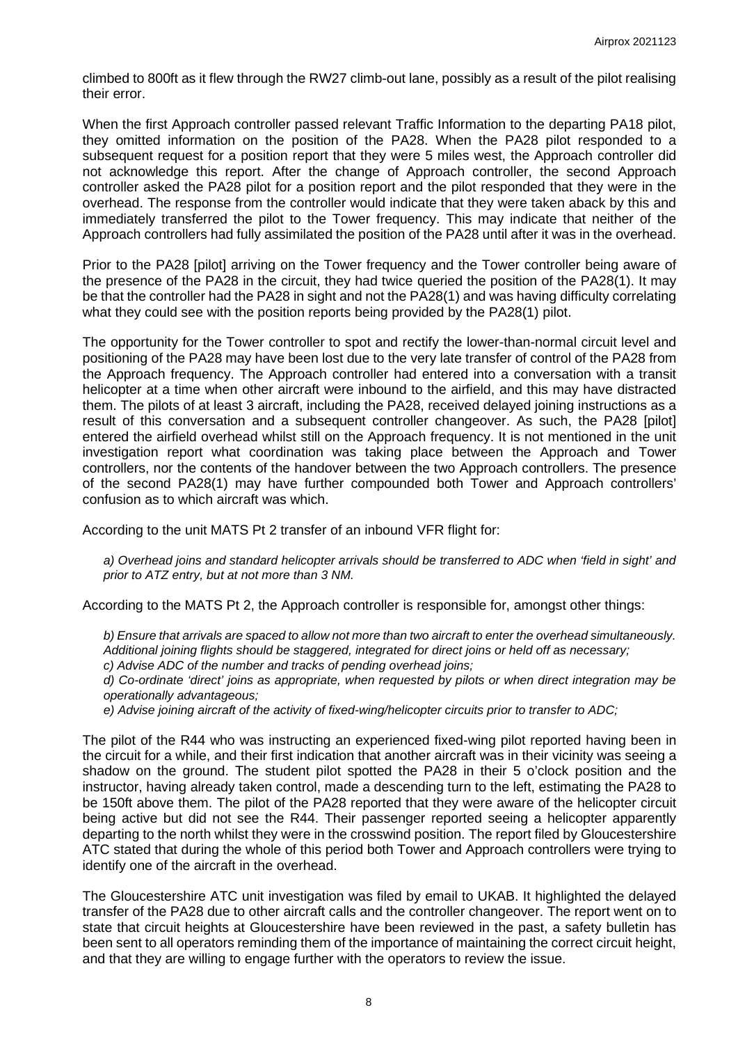climbed to 800ft as it flew through the RW27 climb-out lane, possibly as a result of the pilot realising their error.

When the first Approach controller passed relevant Traffic Information to the departing PA18 pilot, they omitted information on the position of the PA28. When the PA28 pilot responded to a subsequent request for a position report that they were 5 miles west, the Approach controller did not acknowledge this report. After the change of Approach controller, the second Approach controller asked the PA28 pilot for a position report and the pilot responded that they were in the overhead. The response from the controller would indicate that they were taken aback by this and immediately transferred the pilot to the Tower frequency. This may indicate that neither of the Approach controllers had fully assimilated the position of the PA28 until after it was in the overhead.

Prior to the PA28 [pilot] arriving on the Tower frequency and the Tower controller being aware of the presence of the PA28 in the circuit, they had twice queried the position of the PA28(1). It may be that the controller had the PA28 in sight and not the PA28(1) and was having difficulty correlating what they could see with the position reports being provided by the PA28(1) pilot.

The opportunity for the Tower controller to spot and rectify the lower-than-normal circuit level and positioning of the PA28 may have been lost due to the very late transfer of control of the PA28 from the Approach frequency. The Approach controller had entered into a conversation with a transit helicopter at a time when other aircraft were inbound to the airfield, and this may have distracted them. The pilots of at least 3 aircraft, including the PA28, received delayed joining instructions as a result of this conversation and a subsequent controller changeover. As such, the PA28 [pilot] entered the airfield overhead whilst still on the Approach frequency. It is not mentioned in the unit investigation report what coordination was taking place between the Approach and Tower controllers, nor the contents of the handover between the two Approach controllers. The presence of the second PA28(1) may have further compounded both Tower and Approach controllers' confusion as to which aircraft was which.

According to the unit MATS Pt 2 transfer of an inbound VFR flight for:

*a) Overhead joins and standard helicopter arrivals should be transferred to ADC when 'field in sight' and prior to ATZ entry, but at not more than 3 NM.*

According to the MATS Pt 2, the Approach controller is responsible for, amongst other things:

*b) Ensure that arrivals are spaced to allow not more than two aircraft to enter the overhead simultaneously. Additional joining flights should be staggered, integrated for direct joins or held off as necessary;* 

*c) Advise ADC of the number and tracks of pending overhead joins;* 

*d) Co-ordinate 'direct' joins as appropriate, when requested by pilots or when direct integration may be operationally advantageous;*

*e) Advise joining aircraft of the activity of fixed-wing/helicopter circuits prior to transfer to ADC;*

The pilot of the R44 who was instructing an experienced fixed-wing pilot reported having been in the circuit for a while, and their first indication that another aircraft was in their vicinity was seeing a shadow on the ground. The student pilot spotted the PA28 in their 5 o'clock position and the instructor, having already taken control, made a descending turn to the left, estimating the PA28 to be 150ft above them. The pilot of the PA28 reported that they were aware of the helicopter circuit being active but did not see the R44. Their passenger reported seeing a helicopter apparently departing to the north whilst they were in the crosswind position. The report filed by Gloucestershire ATC stated that during the whole of this period both Tower and Approach controllers were trying to identify one of the aircraft in the overhead.

The Gloucestershire ATC unit investigation was filed by email to UKAB. It highlighted the delayed transfer of the PA28 due to other aircraft calls and the controller changeover. The report went on to state that circuit heights at Gloucestershire have been reviewed in the past, a safety bulletin has been sent to all operators reminding them of the importance of maintaining the correct circuit height, and that they are willing to engage further with the operators to review the issue.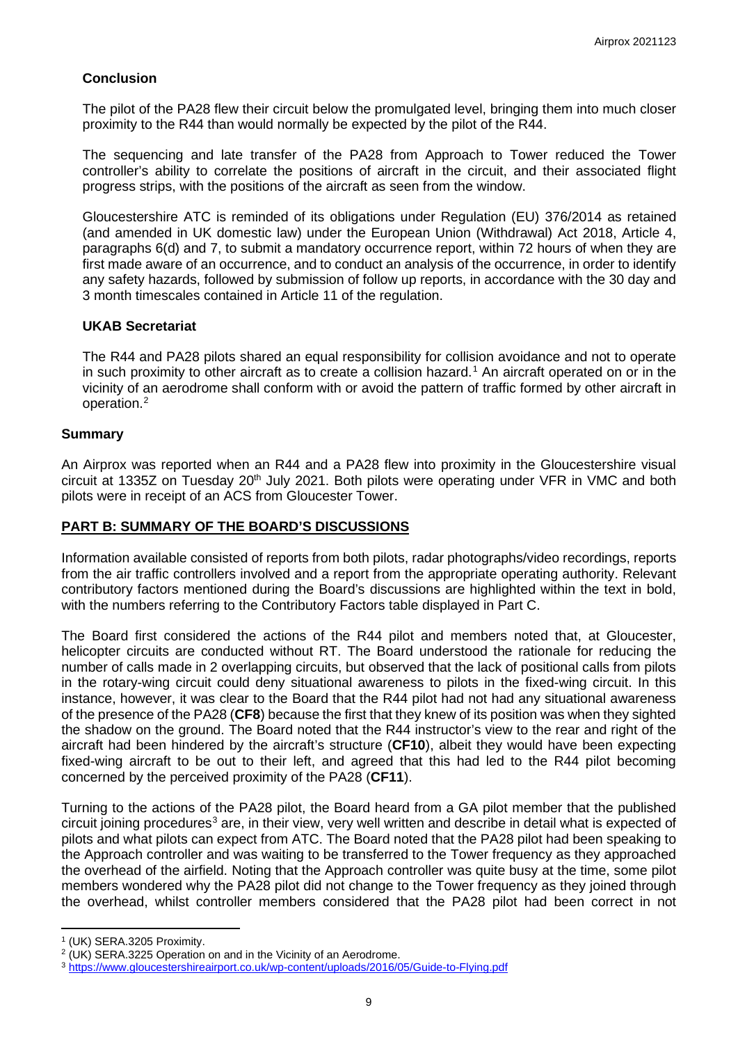# **Conclusion**

The pilot of the PA28 flew their circuit below the promulgated level, bringing them into much closer proximity to the R44 than would normally be expected by the pilot of the R44.

The sequencing and late transfer of the PA28 from Approach to Tower reduced the Tower controller's ability to correlate the positions of aircraft in the circuit, and their associated flight progress strips, with the positions of the aircraft as seen from the window.

Gloucestershire ATC is reminded of its obligations under Regulation (EU) 376/2014 as retained (and amended in UK domestic law) under the European Union (Withdrawal) Act 2018, Article 4, paragraphs 6(d) and 7, to submit a mandatory occurrence report, within 72 hours of when they are first made aware of an occurrence, and to conduct an analysis of the occurrence, in order to identify any safety hazards, followed by submission of follow up reports, in accordance with the 30 day and 3 month timescales contained in Article 11 of the regulation.

## **UKAB Secretariat**

The R44 and PA28 pilots shared an equal responsibility for collision avoidance and not to operate in such proximity to other aircraft as to create a collision hazard. [1](#page-8-0) An aircraft operated on or in the vicinity of an aerodrome shall conform with or avoid the pattern of traffic formed by other aircraft in operation. [2](#page-8-1)

## **Summary**

An Airprox was reported when an R44 and a PA28 flew into proximity in the Gloucestershire visual circuit at 1335Z on Tuesday 20<sup>th</sup> July 2021. Both pilots were operating under VFR in VMC and both pilots were in receipt of an ACS from Gloucester Tower.

## **PART B: SUMMARY OF THE BOARD'S DISCUSSIONS**

Information available consisted of reports from both pilots, radar photographs/video recordings, reports from the air traffic controllers involved and a report from the appropriate operating authority. Relevant contributory factors mentioned during the Board's discussions are highlighted within the text in bold, with the numbers referring to the Contributory Factors table displayed in Part C.

The Board first considered the actions of the R44 pilot and members noted that, at Gloucester, helicopter circuits are conducted without RT. The Board understood the rationale for reducing the number of calls made in 2 overlapping circuits, but observed that the lack of positional calls from pilots in the rotary-wing circuit could deny situational awareness to pilots in the fixed-wing circuit. In this instance, however, it was clear to the Board that the R44 pilot had not had any situational awareness of the presence of the PA28 (**CF8**) because the first that they knew of its position was when they sighted the shadow on the ground. The Board noted that the R44 instructor's view to the rear and right of the aircraft had been hindered by the aircraft's structure (**CF10**), albeit they would have been expecting fixed-wing aircraft to be out to their left, and agreed that this had led to the R44 pilot becoming concerned by the perceived proximity of the PA28 (**CF11**).

Turning to the actions of the PA28 pilot, the Board heard from a GA pilot member that the published circuit joining procedures<sup>[3](#page-8-2)</sup> are, in their view, very well written and describe in detail what is expected of pilots and what pilots can expect from ATC. The Board noted that the PA28 pilot had been speaking to the Approach controller and was waiting to be transferred to the Tower frequency as they approached the overhead of the airfield. Noting that the Approach controller was quite busy at the time, some pilot members wondered why the PA28 pilot did not change to the Tower frequency as they joined through the overhead, whilst controller members considered that the PA28 pilot had been correct in not

<span id="page-8-0"></span><sup>1</sup> (UK) SERA.3205 Proximity.

<span id="page-8-1"></span> $2$  (UK) SERA.3225 Operation on and in the Vicinity of an Aerodrome.

<span id="page-8-2"></span><sup>3</sup> <https://www.gloucestershireairport.co.uk/wp-content/uploads/2016/05/Guide-to-Flying.pdf>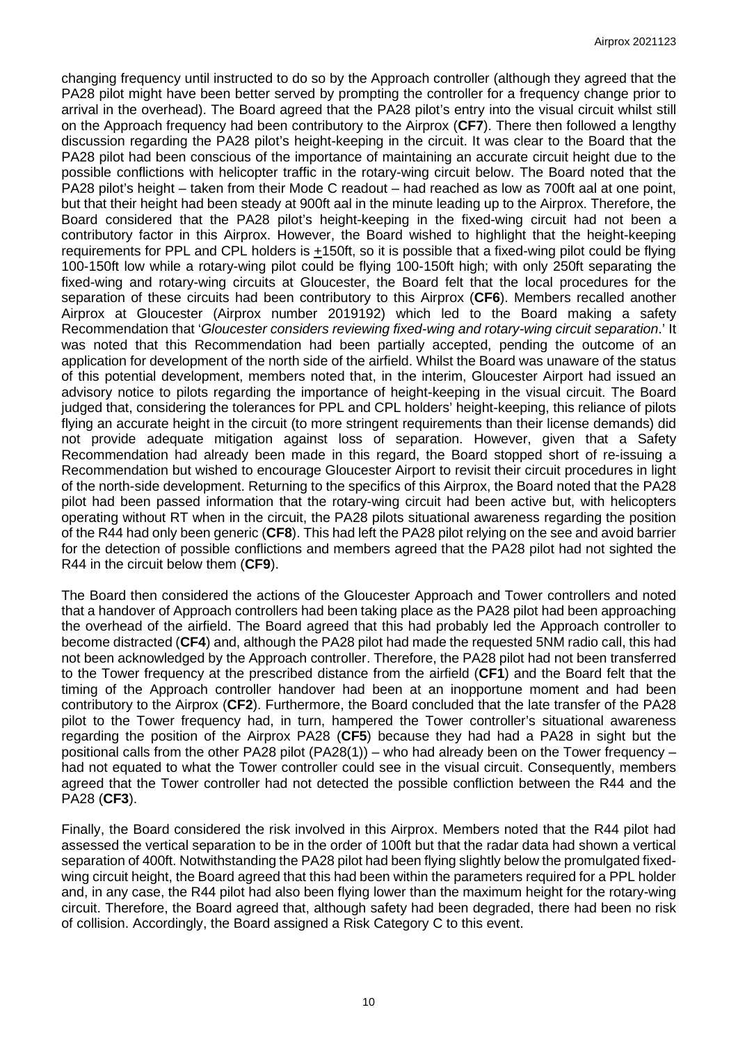changing frequency until instructed to do so by the Approach controller (although they agreed that the PA28 pilot might have been better served by prompting the controller for a frequency change prior to arrival in the overhead). The Board agreed that the PA28 pilot's entry into the visual circuit whilst still on the Approach frequency had been contributory to the Airprox (**CF7**). There then followed a lengthy discussion regarding the PA28 pilot's height-keeping in the circuit. It was clear to the Board that the PA28 pilot had been conscious of the importance of maintaining an accurate circuit height due to the possible conflictions with helicopter traffic in the rotary-wing circuit below. The Board noted that the PA28 pilot's height – taken from their Mode C readout – had reached as low as 700ft aal at one point, but that their height had been steady at 900ft aal in the minute leading up to the Airprox. Therefore, the Board considered that the PA28 pilot's height-keeping in the fixed-wing circuit had not been a contributory factor in this Airprox. However, the Board wished to highlight that the height-keeping requirements for PPL and CPL holders is +150ft, so it is possible that a fixed-wing pilot could be flying 100-150ft low while a rotary-wing pilot could be flying 100-150ft high; with only 250ft separating the fixed-wing and rotary-wing circuits at Gloucester, the Board felt that the local procedures for the separation of these circuits had been contributory to this Airprox (**CF6**). Members recalled another Airprox at Gloucester (Airprox number 2019192) which led to the Board making a safety Recommendation that '*Gloucester considers reviewing fixed-wing and rotary-wing circuit separation*.' It was noted that this Recommendation had been partially accepted, pending the outcome of an application for development of the north side of the airfield. Whilst the Board was unaware of the status of this potential development, members noted that, in the interim, Gloucester Airport had issued an advisory notice to pilots regarding the importance of height-keeping in the visual circuit. The Board judged that, considering the tolerances for PPL and CPL holders' height-keeping, this reliance of pilots flying an accurate height in the circuit (to more stringent requirements than their license demands) did not provide adequate mitigation against loss of separation. However, given that a Safety Recommendation had already been made in this regard, the Board stopped short of re-issuing a Recommendation but wished to encourage Gloucester Airport to revisit their circuit procedures in light of the north-side development. Returning to the specifics of this Airprox, the Board noted that the PA28 pilot had been passed information that the rotary-wing circuit had been active but, with helicopters operating without RT when in the circuit, the PA28 pilots situational awareness regarding the position of the R44 had only been generic (**CF8**). This had left the PA28 pilot relying on the see and avoid barrier for the detection of possible conflictions and members agreed that the PA28 pilot had not sighted the R44 in the circuit below them (**CF9**).

The Board then considered the actions of the Gloucester Approach and Tower controllers and noted that a handover of Approach controllers had been taking place as the PA28 pilot had been approaching the overhead of the airfield. The Board agreed that this had probably led the Approach controller to become distracted (**CF4**) and, although the PA28 pilot had made the requested 5NM radio call, this had not been acknowledged by the Approach controller. Therefore, the PA28 pilot had not been transferred to the Tower frequency at the prescribed distance from the airfield (**CF1**) and the Board felt that the timing of the Approach controller handover had been at an inopportune moment and had been contributory to the Airprox (**CF2**). Furthermore, the Board concluded that the late transfer of the PA28 pilot to the Tower frequency had, in turn, hampered the Tower controller's situational awareness regarding the position of the Airprox PA28 (**CF5**) because they had had a PA28 in sight but the positional calls from the other PA28 pilot (PA28(1)) – who had already been on the Tower frequency – had not equated to what the Tower controller could see in the visual circuit. Consequently, members agreed that the Tower controller had not detected the possible confliction between the R44 and the PA28 (**CF3**).

Finally, the Board considered the risk involved in this Airprox. Members noted that the R44 pilot had assessed the vertical separation to be in the order of 100ft but that the radar data had shown a vertical separation of 400ft. Notwithstanding the PA28 pilot had been flying slightly below the promulgated fixedwing circuit height, the Board agreed that this had been within the parameters required for a PPL holder and, in any case, the R44 pilot had also been flying lower than the maximum height for the rotary-wing circuit. Therefore, the Board agreed that, although safety had been degraded, there had been no risk of collision. Accordingly, the Board assigned a Risk Category C to this event.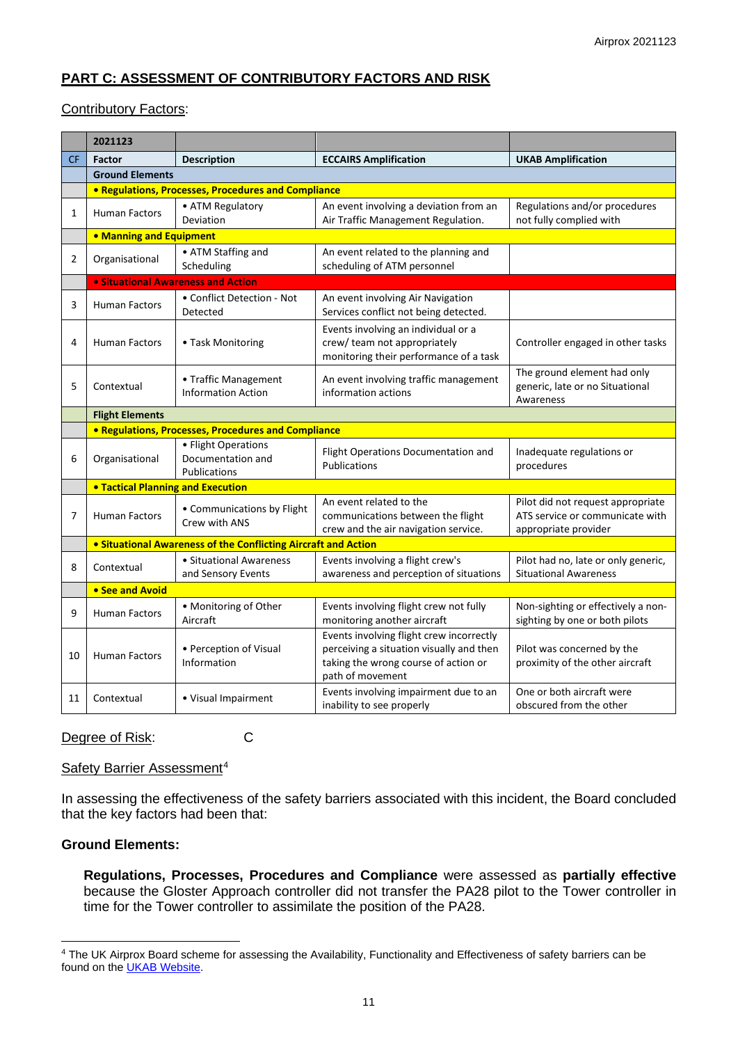# **PART C: ASSESSMENT OF CONTRIBUTORY FACTORS AND RISK**

## Contributory Factors:

|           | 2021123                                                             |                                                          |                                                                                                                                                  |                                                                                              |  |  |  |  |  |  |  |
|-----------|---------------------------------------------------------------------|----------------------------------------------------------|--------------------------------------------------------------------------------------------------------------------------------------------------|----------------------------------------------------------------------------------------------|--|--|--|--|--|--|--|
| <b>CF</b> | <b>Factor</b>                                                       | <b>Description</b>                                       | <b>ECCAIRS Amplification</b>                                                                                                                     | <b>UKAB Amplification</b>                                                                    |  |  |  |  |  |  |  |
|           | <b>Ground Elements</b>                                              |                                                          |                                                                                                                                                  |                                                                                              |  |  |  |  |  |  |  |
|           | <b>• Regulations, Processes, Procedures and Compliance</b>          |                                                          |                                                                                                                                                  |                                                                                              |  |  |  |  |  |  |  |
| 1         | <b>Human Factors</b>                                                | • ATM Regulatory<br>Deviation                            | An event involving a deviation from an<br>Air Traffic Management Regulation.                                                                     | Regulations and/or procedures<br>not fully complied with                                     |  |  |  |  |  |  |  |
|           | • Manning and Equipment                                             |                                                          |                                                                                                                                                  |                                                                                              |  |  |  |  |  |  |  |
| 2         | Organisational                                                      | • ATM Staffing and<br>Scheduling                         | An event related to the planning and<br>scheduling of ATM personnel                                                                              |                                                                                              |  |  |  |  |  |  |  |
|           | <b>.</b> Situational Awareness and Action                           |                                                          |                                                                                                                                                  |                                                                                              |  |  |  |  |  |  |  |
| 3         | <b>Human Factors</b>                                                | • Conflict Detection - Not<br>Detected                   | An event involving Air Navigation<br>Services conflict not being detected.                                                                       |                                                                                              |  |  |  |  |  |  |  |
| 4         | <b>Human Factors</b>                                                | • Task Monitoring                                        | Events involving an individual or a<br>crew/ team not appropriately<br>monitoring their performance of a task                                    | Controller engaged in other tasks                                                            |  |  |  |  |  |  |  |
| 5         | Contextual                                                          | • Traffic Management<br><b>Information Action</b>        | An event involving traffic management<br>information actions                                                                                     | The ground element had only<br>generic, late or no Situational<br>Awareness                  |  |  |  |  |  |  |  |
|           | <b>Flight Elements</b>                                              |                                                          |                                                                                                                                                  |                                                                                              |  |  |  |  |  |  |  |
|           | • Regulations, Processes, Procedures and Compliance                 |                                                          |                                                                                                                                                  |                                                                                              |  |  |  |  |  |  |  |
| 6         | Organisational                                                      | • Flight Operations<br>Documentation and<br>Publications | Flight Operations Documentation and<br><b>Publications</b>                                                                                       | Inadequate regulations or<br>procedures                                                      |  |  |  |  |  |  |  |
|           | <b>. Tactical Planning and Execution</b>                            |                                                          |                                                                                                                                                  |                                                                                              |  |  |  |  |  |  |  |
| 7         | • Communications by Flight<br><b>Human Factors</b><br>Crew with ANS |                                                          | An event related to the<br>communications between the flight<br>crew and the air navigation service.                                             | Pilot did not request appropriate<br>ATS service or communicate with<br>appropriate provider |  |  |  |  |  |  |  |
|           | • Situational Awareness of the Conflicting Aircraft and Action      |                                                          |                                                                                                                                                  |                                                                                              |  |  |  |  |  |  |  |
| 8         | Contextual                                                          | • Situational Awareness<br>and Sensory Events            | Events involving a flight crew's<br>awareness and perception of situations                                                                       | Pilot had no, late or only generic,<br><b>Situational Awareness</b>                          |  |  |  |  |  |  |  |
|           | • See and Avoid                                                     |                                                          |                                                                                                                                                  |                                                                                              |  |  |  |  |  |  |  |
| 9         | <b>Human Factors</b>                                                | • Monitoring of Other<br>Aircraft                        | Events involving flight crew not fully<br>monitoring another aircraft                                                                            | Non-sighting or effectively a non-<br>sighting by one or both pilots                         |  |  |  |  |  |  |  |
| 10        | <b>Human Factors</b>                                                | • Perception of Visual<br>Information                    | Events involving flight crew incorrectly<br>perceiving a situation visually and then<br>taking the wrong course of action or<br>path of movement | Pilot was concerned by the<br>proximity of the other aircraft                                |  |  |  |  |  |  |  |
| 11        | • Visual Impairment<br>Contextual                                   |                                                          | Events involving impairment due to an<br>inability to see properly                                                                               | One or both aircraft were<br>obscured from the other                                         |  |  |  |  |  |  |  |

Degree of Risk: C

#### Safety Barrier Assessment<sup>[4](#page-10-0)</sup>

In assessing the effectiveness of the safety barriers associated with this incident, the Board concluded that the key factors had been that:

# **Ground Elements:**

**Regulations, Processes, Procedures and Compliance** were assessed as **partially effective** because the Gloster Approach controller did not transfer the PA28 pilot to the Tower controller in time for the Tower controller to assimilate the position of the PA28.

<span id="page-10-0"></span><sup>&</sup>lt;sup>4</sup> The UK Airprox Board scheme for assessing the Availability, Functionality and Effectiveness of safety barriers can be found on the **UKAB Website**.